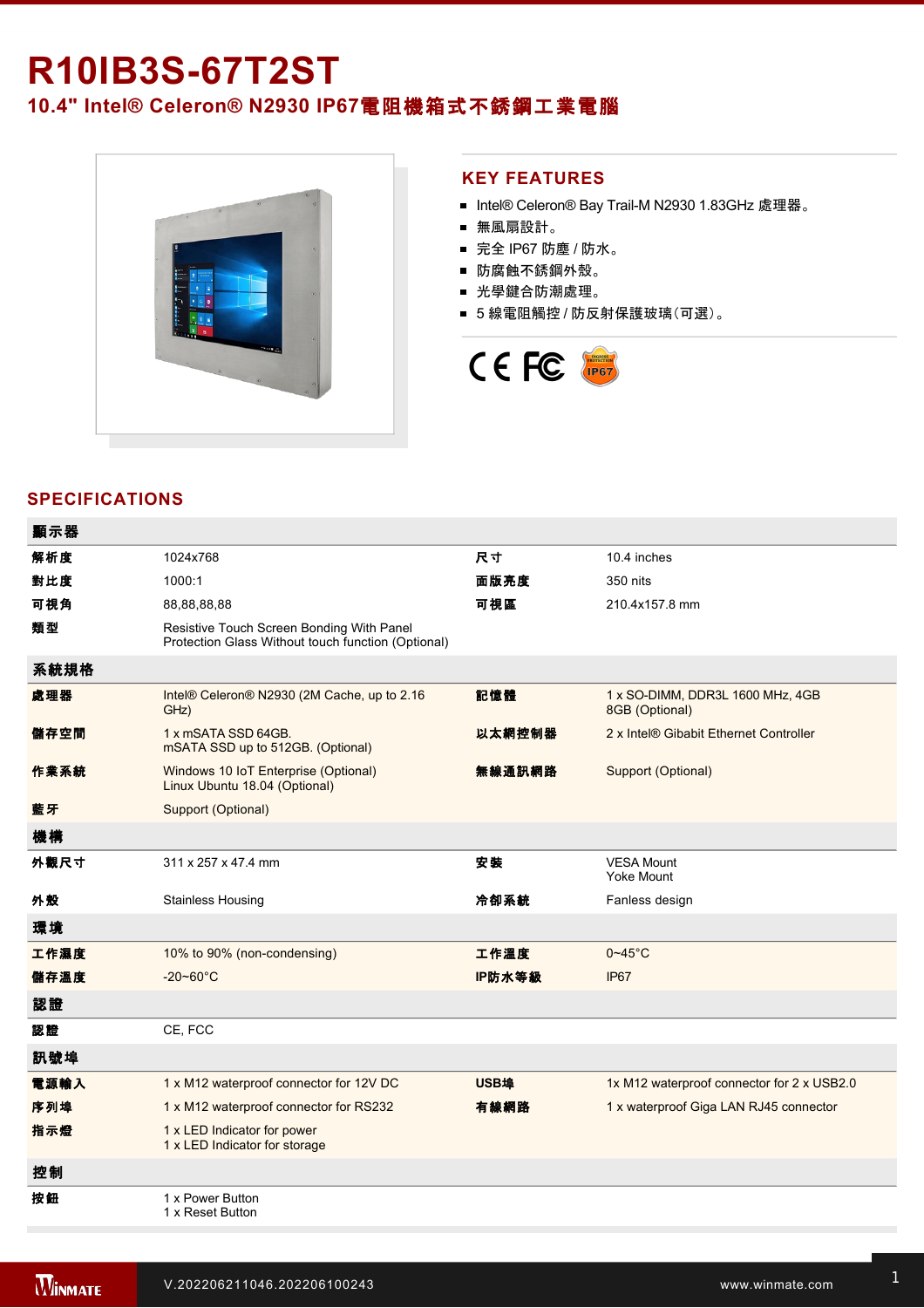# **R10IB3S-67T2ST 10.4" Intel® Celeron® N2930 IP67**電阻機箱式不銹鋼工業電腦



### **KEY FEATURES**

- Intel® Celeron® Bay Trail-M N2930 1.83GHz 處理器。
- 無風扇設計。
- 完全 IP67 防塵 / 防水。
- 防腐蝕不銹鋼外殼。
- 光學鍵合防潮處理。
- 5 線電阻觸控 / 防反射保護玻璃(可選)。



## **SPECIFICATIONS**

| 顯示器  |                                                                                                 |        |                                                    |
|------|-------------------------------------------------------------------------------------------------|--------|----------------------------------------------------|
| 解析度  | 1024x768                                                                                        | 尺寸     | 10.4 inches                                        |
| 對比度  | 1000:1                                                                                          | 面版亮度   | 350 nits                                           |
| 可視角  | 88,88,88,88                                                                                     | 可視區    | 210.4x157.8 mm                                     |
| 類型   | Resistive Touch Screen Bonding With Panel<br>Protection Glass Without touch function (Optional) |        |                                                    |
| 系統規格 |                                                                                                 |        |                                                    |
| 處理器  | Intel® Celeron® N2930 (2M Cache, up to 2.16<br>GHz)                                             | 記憶體    | 1 x SO-DIMM, DDR3L 1600 MHz, 4GB<br>8GB (Optional) |
| 儲存空間 | 1 x mSATA SSD 64GB.<br>mSATA SSD up to 512GB. (Optional)                                        | 以太網控制器 | 2 x Intel® Gibabit Ethernet Controller             |
| 作業系統 | Windows 10 IoT Enterprise (Optional)<br>Linux Ubuntu 18.04 (Optional)                           | 無線通訊網路 | Support (Optional)                                 |
| 藍牙   | Support (Optional)                                                                              |        |                                                    |
| 機構   |                                                                                                 |        |                                                    |
| 外觀尺寸 | 311 x 257 x 47.4 mm                                                                             | 安装     | <b>VESA Mount</b><br><b>Yoke Mount</b>             |
| 外殼   | <b>Stainless Housing</b>                                                                        | 冷卻系統   | Fanless design                                     |
| 環境   |                                                                                                 |        |                                                    |
| 工作濕度 | 10% to 90% (non-condensing)                                                                     | 工作溫度   | $0 - 45$ °C                                        |
| 儲存溫度 | $-20 - 60^{\circ}C$                                                                             | IP防水等級 | IP67                                               |
| 認證   |                                                                                                 |        |                                                    |
| 認證   | CE, FCC                                                                                         |        |                                                    |
| 訊號埠  |                                                                                                 |        |                                                    |
| 電源輸入 | 1 x M12 waterproof connector for 12V DC                                                         | USB埠   | 1x M12 waterproof connector for 2 x USB2.0         |
| 序列埠  | 1 x M12 waterproof connector for RS232                                                          | 有線網路   | 1 x waterproof Giga LAN RJ45 connector             |
| 指示燈  | 1 x LED Indicator for power<br>1 x LED Indicator for storage                                    |        |                                                    |
| 控制   |                                                                                                 |        |                                                    |
| 按鈕   | 1 x Power Button<br>1 x Reset Button                                                            |        |                                                    |
|      |                                                                                                 |        |                                                    |

配件

 $\mathcal{L}_{\mathcal{L}}$  and  $\mathcal{L}_{\mathcal{L}}$  cable with waterproof connector with waterproof connector  $\mathcal{L}_{\mathcal{L}}$ 

 $\mathcal{L}^2$  100  $\mathcal{L}^2$  and with waterproof with waterproof with waterproof with waterproof with waterproof with waterproof with waterproof with  $\mathcal{L}^2$